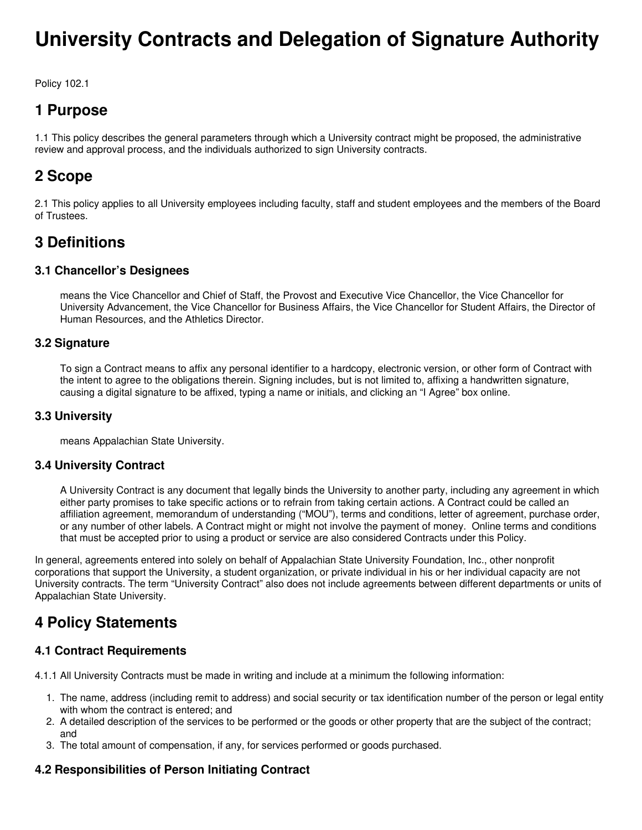# **University Contracts and Delegation of Signature Authority**

Policy 102.1

# **1 Purpose**

1.1 This policy describes the general parameters through which a University contract might be proposed, the administrative review and approval process, and the individuals authorized to sign University contracts.

# **2 Scope**

2.1 This policy applies to all University employees including faculty, staff and student employees and the members of the Board of Trustees.

### **3 Definitions**

#### **3.1 Chancellor's Designees**

means the Vice Chancellor and Chief of Staff, the Provost and Executive Vice Chancellor, the Vice Chancellor for University Advancement, the Vice Chancellor for Business Affairs, the Vice Chancellor for Student Affairs, the Director of Human Resources, and the Athletics Director.

#### **3.2 Signature**

To sign a Contract means to affix any personal identifier to a hardcopy, electronic version, or other form of Contract with the intent to agree to the obligations therein. Signing includes, but is not limited to, affixing a handwritten signature, causing a digital signature to be affixed, typing a name or initials, and clicking an "I Agree" box online.

#### **3.3 University**

means Appalachian State University.

#### **3.4 University Contract**

A University Contract is any document that legally binds the University to another party, including any agreement in which either party promises to take specific actions or to refrain from taking certain actions. A Contract could be called an affiliation agreement, memorandum of understanding ("MOU"), terms and conditions, letter of agreement, purchase order, or any number of other labels. A Contract might or might not involve the payment of money. Online terms and conditions that must be accepted prior to using a product or service are also considered Contracts under this Policy.

In general, agreements entered into solely on behalf of Appalachian State University Foundation, Inc., other nonprofit corporations that support the University, a student organization, or private individual in his or her individual capacity are not University contracts. The term "University Contract" also does not include agreements between different departments or units of Appalachian State University.

### **4 Policy Statements**

#### **4.1 Contract Requirements**

4.1.1 All University Contracts must be made in writing and include at a minimum the following information:

- 1. The name, address (including remit to address) and social security or tax identification number of the person or legal entity with whom the contract is entered; and
- 2. A detailed description of the services to be performed or the goods or other property that are the subject of the contract; and
- 3. The total amount of compensation, if any, for services performed or goods purchased.

#### **4.2 Responsibilities of Person Initiating Contract**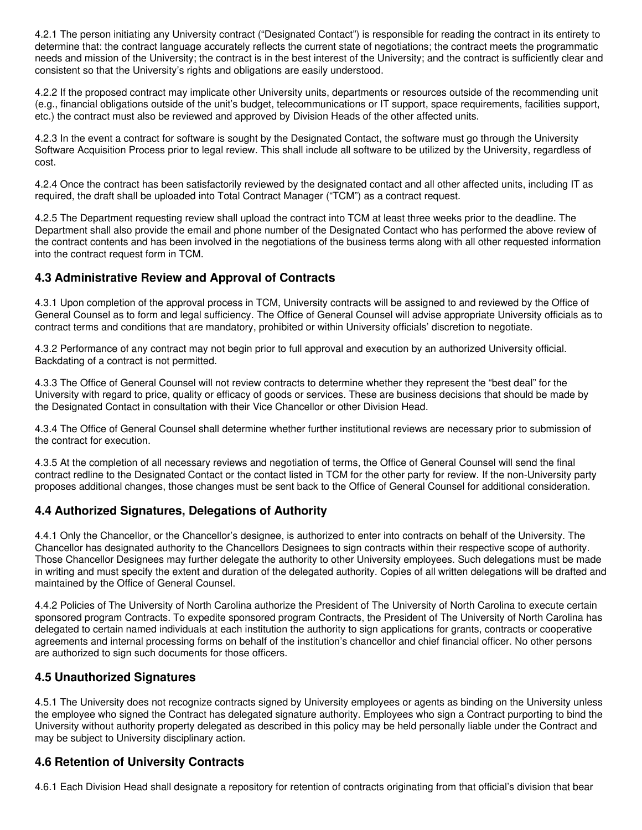4.2.1 The person initiating any University contract ("Designated Contact") is responsible for reading the contract in its entirety to determine that: the contract language accurately reflects the current state of negotiations; the contract meets the programmatic needs and mission of the University; the contract is in the best interest of the University; and the contract is sufficiently clear and consistent so that the University's rights and obligations are easily understood.

4.2.2 If the proposed contract may implicate other University units, departments or resources outside of the recommending unit (e.g., financial obligations outside of the unit's budget, telecommunications or IT support, space requirements, facilities support, etc.) the contract must also be reviewed and approved by Division Heads of the other affected units.

4.2.3 In the event a contract for software is sought by the Designated Contact, the software must go through the University Software Acquisition Process prior to legal review. This shall include all software to be utilized by the University, regardless of cost.

4.2.4 Once the contract has been satisfactorily reviewed by the designated contact and all other affected units, including IT as required, the draft shall be uploaded into Total Contract Manager ("TCM") as a contract request.

4.2.5 The Department requesting review shall upload the contract into TCM at least three weeks prior to the deadline. The Department shall also provide the email and phone number of the Designated Contact who has performed the above review of the contract contents and has been involved in the negotiations of the business terms along with all other requested information into the contract request form in TCM.

#### **4.3 Administrative Review and Approval of Contracts**

4.3.1 Upon completion of the approval process in TCM, University contracts will be assigned to and reviewed by the Office of General Counsel as to form and legal sufficiency. The Office of General Counsel will advise appropriate University officials as to contract terms and conditions that are mandatory, prohibited or within University officials' discretion to negotiate.

4.3.2 Performance of any contract may not begin prior to full approval and execution by an authorized University official. Backdating of a contract is not permitted.

4.3.3 The Office of General Counsel will not review contracts to determine whether they represent the "best deal" for the University with regard to price, quality or efficacy of goods or services. These are business decisions that should be made by the Designated Contact in consultation with their Vice Chancellor or other Division Head.

4.3.4 The Office of General Counsel shall determine whether further institutional reviews are necessary prior to submission of the contract for execution.

4.3.5 At the completion of all necessary reviews and negotiation of terms, the Office of General Counsel will send the final contract redline to the Designated Contact or the contact listed in TCM for the other party for review. If the non-University party proposes additional changes, those changes must be sent back to the Office of General Counsel for additional consideration.

#### **4.4 Authorized Signatures, Delegations of Authority**

4.4.1 Only the Chancellor, or the Chancellor's designee, is authorized to enter into contracts on behalf of the University. The Chancellor has designated authority to the Chancellors Designees to sign contracts within their respective scope of authority. Those Chancellor Designees may further delegate the authority to other University employees. Such delegations must be made in writing and must specify the extent and duration of the delegated authority. Copies of all written delegations will be drafted and maintained by the Office of General Counsel.

4.4.2 Policies of The University of North Carolina authorize the President of The University of North Carolina to execute certain sponsored program Contracts. To expedite sponsored program Contracts, the President of The University of North Carolina has delegated to certain named individuals at each institution the authority to sign applications for grants, contracts or cooperative agreements and internal processing forms on behalf of the institution's chancellor and chief financial officer. No other persons are authorized to sign such documents for those officers.

#### **4.5 Unauthorized Signatures**

4.5.1 The University does not recognize contracts signed by University employees or agents as binding on the University unless the employee who signed the Contract has delegated signature authority. Employees who sign a Contract purporting to bind the University without authority property delegated as described in this policy may be held personally liable under the Contract and may be subject to University disciplinary action.

#### **4.6 Retention of University Contracts**

4.6.1 Each Division Head shall designate a repository for retention of contracts originating from that official's division that bear